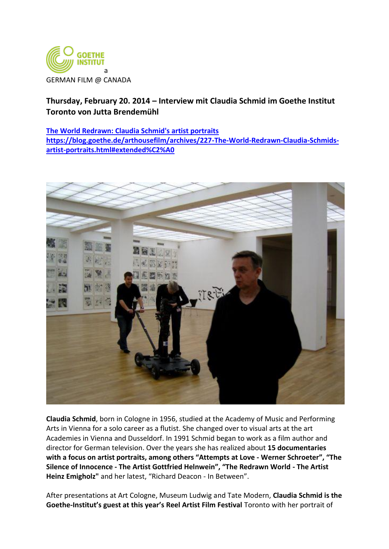

## **Thursday, February 20. 2014 – Interview mit Claudia Schmid im Goethe Institut Toronto von Jutta Brendemühl**

## **[The World Redrawn: Claudia Schmid's artist portraits](https://blog.goethe.de/arthousefilm/archives/227-The-World-Redrawn-Claudia-Schmids-artist-portraits.html) [https://blog.goethe.de/arthousefilm/archives/227-The-World-Redrawn-Claudia-Schmids](https://blog.goethe.de/arthousefilm/archives/227-The-World-Redrawn-Claudia-Schmids-artist-portraits.html#extended%C2%A0)[artist-portraits.html#extended%C2%A0](https://blog.goethe.de/arthousefilm/archives/227-The-World-Redrawn-Claudia-Schmids-artist-portraits.html#extended%C2%A0)**



**Claudia Schmid**, born in Cologne in 1956, studied at the Academy of Music and Performing Arts in Vienna for a solo career as a flutist. She changed over to visual arts at the art Academies in Vienna and Dusseldorf. In 1991 Schmid began to work as a film author and director for German television. Over the years she has realized about **15 documentaries with a focus on artist portraits, among others "Attempts at Love - Werner Schroeter", "The Silence of Innocence - The Artist Gottfried Helnwein", "The Redrawn World - The Artist Heinz Emigholz"** and her latest, "Richard Deacon - In Between".

After presentations at Art Cologne, Museum Ludwig and Tate Modern, **Claudia Schmid is the Goethe-Institut's guest at this year's Reel Artist Film Festival** Toronto with her portrait of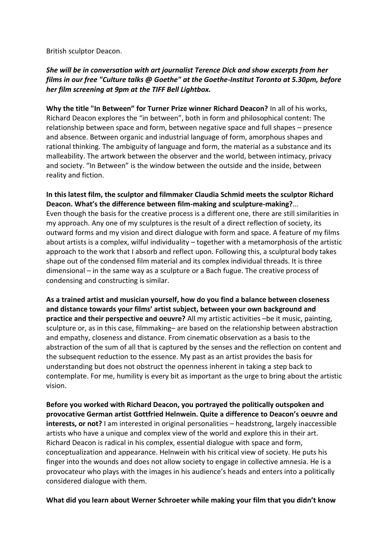British sculptor Deacon.

## *She will be in conversation with art journalist Terence Dick and show excerpts from her films in our free "Culture talks @ Goethe" at the Goethe-Institut Toronto at 5.30pm, before her film screening at 9pm at the TIFF Bell Lightbox.*

**Why the title "In Between" for Turner Prize winner Richard Deacon?** In all of his works, Richard Deacon explores the "in between", both in form and philosophical content: The relationship between space and form, between negative space and full shapes – presence and absence. Between organic and industrial language of form, amorphous shapes and rational thinking. The ambiguity of language and form, the material as a substance and its malleability. The artwork between the observer and the world, between intimacy, privacy and society. "In Between" is the window between the outside and the inside, between reality and fiction.

**In this latest film, the sculptor and filmmaker Claudia Schmid meets the sculptor Richard Deacon. What's the difference between film-making and sculpture-making?**... Even though the basis for the creative process is a different one, there are still similarities in my approach. Any one of my sculptures is the result of a direct reflection of society, its outward forms and my vision and direct dialogue with form and space. A feature of my films about artists is a complex, wilful individuality – together with a metamorphosis of the artistic approach to the work that I absorb and reflect upon. Following this, a sculptural body takes shape out of the condensed film material and its complex individual threads. It is three dimensional – in the same way as a sculpture or a Bach fugue. The creative process of condensing and constructing is similar.

**As a trained artist and musician yourself, how do you find a balance between closeness and distance towards your films' artist subject, between your own background and practice and their perspective and oeuvre?** All my artistic activities –be it music, painting, sculpture or, as in this case, filmmaking– are based on the relationship between abstraction and empathy, closeness and distance. From cinematic observation as a basis to the abstraction of the sum of all that is captured by the senses and the reflection on content and the subsequent reduction to the essence. My past as an artist provides the basis for understanding but does not obstruct the openness inherent in taking a step back to contemplate. For me, humility is every bit as important as the urge to bring about the artistic vision.

**Before you worked with Richard Deacon, you portrayed the politically outspoken and provocative German artist Gottfried Helnwein. Quite a difference to Deacon's oeuvre and interests, or not?** I am interested in original personalities – headstrong, largely inaccessible artists who have a unique and complex view of the world and explore this in their art. Richard Deacon is radical in his complex, essential dialogue with space and form, conceptualization and appearance. Helnwein with his critical view of society. He puts his finger into the wounds and does not allow society to engage in collective amnesia. He is a provocateur who plays with the images in his audience's heads and enters into a politically considered dialogue with them.

**What did you learn about Werner Schroeter while making your film that you didn't know**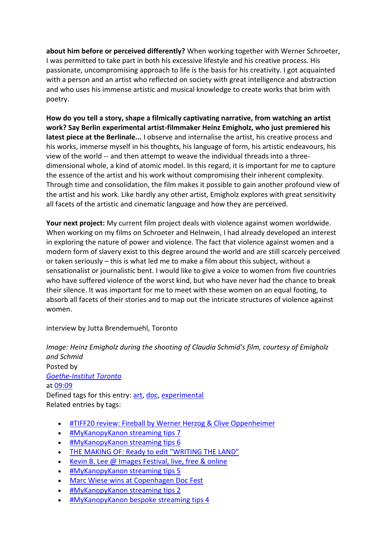**about him before or perceived differently?** When working together with Werner Schroeter, I was permitted to take part in both his excessive lifestyle and his creative process. His passionate, uncompromising approach to life is the basis for his creativity. I got acquainted with a person and an artist who reflected on society with great intelligence and abstraction and who uses his immense artistic and musical knowledge to create works that brim with poetry.

**How do you tell a story, shape a filmically captivating narrative, from watching an artist work? Say Berlin experimental artist-filmmaker Heinz Emigholz, who just premiered his latest piece at the Berlinale...** I observe and internalise the artist, his creative process and his works, immerse myself in his thoughts, his language of form, his artistic endeavours, his view of the world -- and then attempt to weave the individual threads into a threedimensional whole, a kind of atomic model. In this regard, it is important for me to capture the essence of the artist and his work without compromising their inherent complexity. Through time and consolidation, the film makes it possible to gain another profound view of the artist and his work. Like hardly any other artist, Emigholz explores with great sensitivity all facets of the artistic and cinematic language and how they are perceived.

**Your next project:** My current film project deals with violence against women worldwide. When working on my films on Schroeter and Helnwein, I had already developed an interest in exploring the nature of power and violence. The fact that violence against women and a modern form of slavery exist to this degree around the world and are still scarcely perceived or taken seriously – this is what led me to make a film about this subject, without a sensationalist or journalistic bent. I would like to give a voice to women from five countries who have suffered violence of the worst kind, but who have never had the chance to break their silence. It was important for me to meet with these women on an equal footing, to absorb all facets of their stories and to map out the intricate structures of violence against women.

interview by Jutta Brendemuehl, Toronto

*Image: Heinz Emigholz during the shooting of Claudia Schmid's film, courtesy of Emigholz and Schmid* Posted by *[Goethe-Institut Toronto](https://blog.goethe.de/arthousefilm/authors/5-Goethe-Institut-Toronto)* at [09:09](https://blog.goethe.de/arthousefilm/archives/227-The-World-Redrawn-Claudia-Schmids-artist-portraits.html) Defined tags for this entry: [art,](http://blog.goethe.de/arthousefilm/plugin/tag/art) [doc,](http://blog.goethe.de/arthousefilm/plugin/tag/doc) [experimental](http://blog.goethe.de/arthousefilm/plugin/tag/experimental) Related entries by tags:

- [#TIFF20 review: Fireball by Werner Herzog & Clive Oppenheimer](https://blog.goethe.de/arthousefilm/archives/929-TIFF20-review-Fireball-by-Werner-Herzog-Clive-Oppenheimer.html)
- [#MyKanopyKanon streaming tips 7](https://blog.goethe.de/arthousefilm/archives/867-MyKanopyKanon-streaming-tips-7.html)
- [#MyKanopyKanon streaming tips 6](https://blog.goethe.de/arthousefilm/archives/866-MyKanopyKanon-streaming-tips-6.html)
- [THE MAKING OF: Ready to edit "WRITING THE LAND"](https://blog.goethe.de/arthousefilm/archives/861-THE-MAKING-OF-Ready-to-edit-WRITING-THE-LAND.html)
- [Kevin B. Lee @ Images Festival, live, free & online](https://blog.goethe.de/arthousefilm/archives/885-Kevin-B.-Lee-Images-Festival,-live,-free-online.html)
- [#MyKanopyKanon streaming tips 5](https://blog.goethe.de/arthousefilm/archives/865-MyKanopyKanon-streaming-tips-5.html)
- [Marc Wiese wins at Copenhagen Doc Fest](https://blog.goethe.de/arthousefilm/archives/874-Marc-Wiese-wins-at-Copenhagen-Doc-Fest.html)
- [#MyKanopyKanon streaming tips 2](https://blog.goethe.de/arthousefilm/archives/854-MyKanopyKanon-streaming-tips-2.html)
- [#MyKanopyKanon bespoke streaming tips 4](https://blog.goethe.de/arthousefilm/archives/856-MyKanopyKanon-bespoke-streaming-tips-4.html)